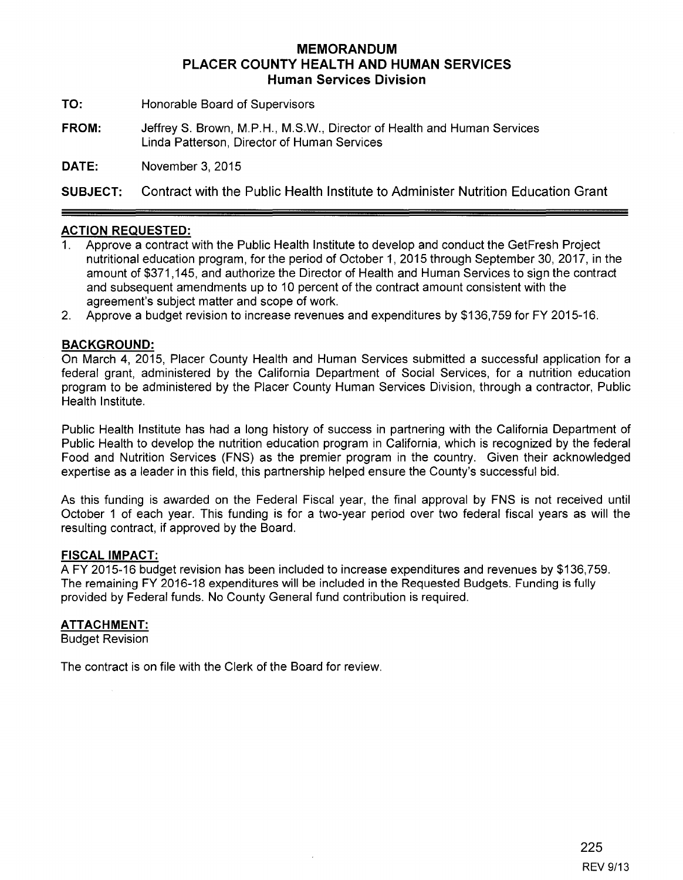# **MEMORANDUM PLACER COUNTY HEALTH AND HUMAN SERVICES Human Services Division**

**TO:** Honorable Board of Supervisors

**FROM:** JeffreyS. Brown, M.P.H., M.S.W., Director of Health and Human Services Linda Patterson, Director of Human Services

**DATE:** November 3, 2015

**SUBJECT:** Contract with the Public Health Institute to Administer Nutrition Education Grant

## **ACTION REQUESTED:**

- 1. Approve a contract with the Public Health Institute to develop and conduct the GetFresh Project nutritional education program, for the period of October 1, 2015 through September 30, 2017, in the amount of \$371,145, and authorize the Director of Health and Human Services to sign the contract and subsequent amendments up to 10 percent of the contract amount consistent with the agreement's subject matter and scope of work.
- 2. Approve a budget revision to increase revenues and expenditures by \$136,759 for FY 2015-16.

## **BACKGROUND:**

On March 4, 2015, Placer County Health and Human Services submitted a successful application for a federal grant, administered by the California Department of Social Services, for a nutrition education program to be administered by the Placer County Human Services Division, through a contractor, Public Health Institute.

Public Health Institute has had a long history of success in partnering with the California Department of Public Health to develop the nutrition education program in California, which is recognized by the federal Food and Nutrition Services (FNS) as the premier program in the country. Given their acknowledged expertise as a leader in this field, this partnership helped ensure the County's successful bid.

As this funding is awarded on the Federal Fiscal year, the final approval by FNS is not received until October 1 of each year. This funding is for a two-year period over two federal fiscal years as will the resulting contract, if approved by the Board.

## **FISCAL IMPACT:**

A FY 2015-16 budget revision has been included to increase expenditures and revenues by \$136,759. The remaining FY 2016-18 expenditures will be included in the Requested Budgets. Funding is fully provided by Federal funds. No County General fund contribution is required.

## **ATTACHMENT:**

Budget Revision

The contract is on file with the Clerk of the Board for review.